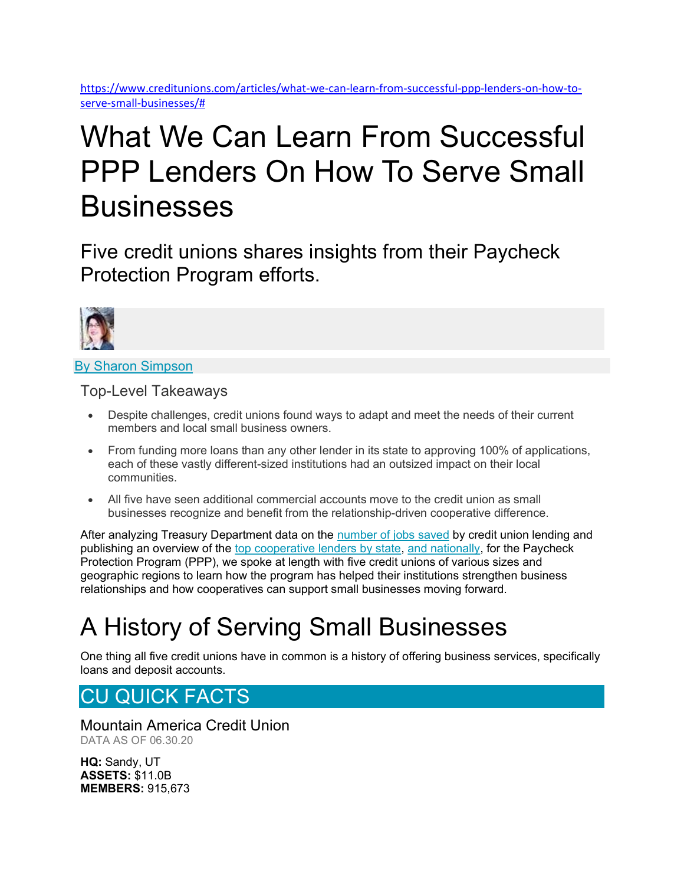https://www.creditunions.com/articles/what-we-can-learn-from-successful-ppp-lenders-on-how-toserve-small-businesses/#

# What We Can Learn From Successful PPP Lenders On How To Serve Small **Businesses**

Five credit unions shares insights from their Paycheck Protection Program efforts.



By Sharon Simpson

Top-Level Takeaways

- Despite challenges, credit unions found ways to adapt and meet the needs of their current members and local small business owners.
- From funding more loans than any other lender in its state to approving 100% of applications, each of these vastly different-sized institutions had an outsized impact on their local communities.
- All five have seen additional commercial accounts move to the credit union as small businesses recognize and benefit from the relationship-driven cooperative difference.

After analyzing Treasury Department data on the number of jobs saved by credit union lending and publishing an overview of the top cooperative lenders by state, and nationally, for the Paycheck Protection Program (PPP), we spoke at length with five credit unions of various sizes and geographic regions to learn how the program has helped their institutions strengthen business relationships and how cooperatives can support small businesses moving forward.

## A History of Serving Small Businesses

One thing all five credit unions have in common is a history of offering business services, specifically loans and deposit accounts.

### CU QUICK FACTS

Mountain America Credit Union DATA AS OF 06.30.20

HQ: Sandy, UT ASSETS: \$11.0B MEMBERS: 915,673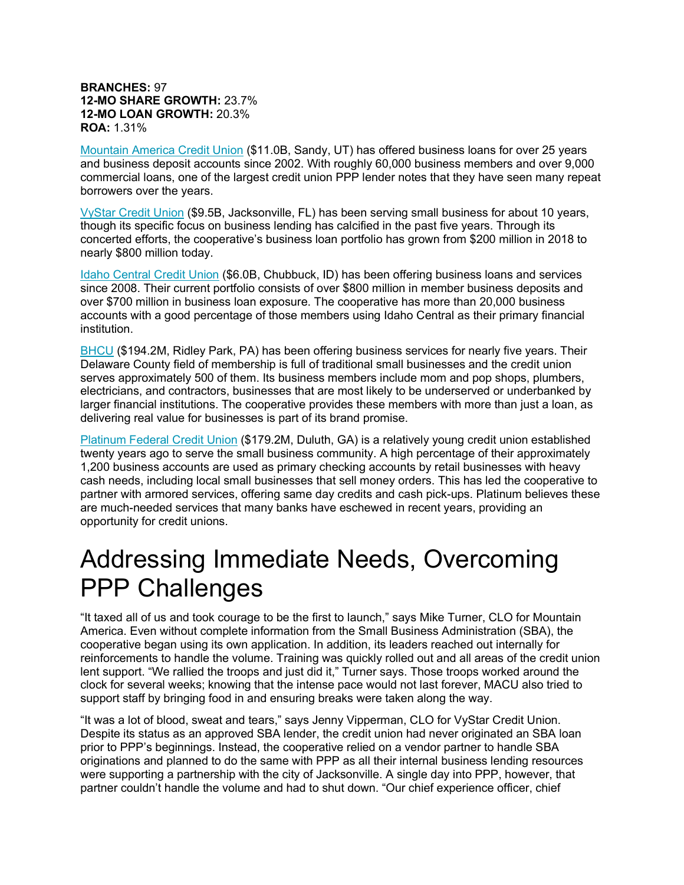#### BRANCHES: 97 12-MO SHARE GROWTH: 23.7% 12-MO LOAN GROWTH: 20.3% ROA: 1.31%

Mountain America Credit Union (\$11.0B, Sandy, UT) has offered business loans for over 25 years and business deposit accounts since 2002. With roughly 60,000 business members and over 9,000 commercial loans, one of the largest credit union PPP lender notes that they have seen many repeat borrowers over the years.

VyStar Credit Union (\$9.5B, Jacksonville, FL) has been serving small business for about 10 years, though its specific focus on business lending has calcified in the past five years. Through its concerted efforts, the cooperative's business loan portfolio has grown from \$200 million in 2018 to nearly \$800 million today.

Idaho Central Credit Union (\$6.0B, Chubbuck, ID) has been offering business loans and services since 2008. Their current portfolio consists of over \$800 million in member business deposits and over \$700 million in business loan exposure. The cooperative has more than 20,000 business accounts with a good percentage of those members using Idaho Central as their primary financial institution.

BHCU (\$194.2M, Ridley Park, PA) has been offering business services for nearly five years. Their Delaware County field of membership is full of traditional small businesses and the credit union serves approximately 500 of them. Its business members include mom and pop shops, plumbers, electricians, and contractors, businesses that are most likely to be underserved or underbanked by larger financial institutions. The cooperative provides these members with more than just a loan, as delivering real value for businesses is part of its brand promise.

Platinum Federal Credit Union (\$179.2M, Duluth, GA) is a relatively young credit union established twenty years ago to serve the small business community. A high percentage of their approximately 1,200 business accounts are used as primary checking accounts by retail businesses with heavy cash needs, including local small businesses that sell money orders. This has led the cooperative to partner with armored services, offering same day credits and cash pick-ups. Platinum believes these are much-needed services that many banks have eschewed in recent years, providing an opportunity for credit unions.

### Addressing Immediate Needs, Overcoming PPP Challenges

"It taxed all of us and took courage to be the first to launch," says Mike Turner, CLO for Mountain America. Even without complete information from the Small Business Administration (SBA), the cooperative began using its own application. In addition, its leaders reached out internally for reinforcements to handle the volume. Training was quickly rolled out and all areas of the credit union lent support. "We rallied the troops and just did it," Turner says. Those troops worked around the clock for several weeks; knowing that the intense pace would not last forever, MACU also tried to support staff by bringing food in and ensuring breaks were taken along the way.

"It was a lot of blood, sweat and tears," says Jenny Vipperman, CLO for VyStar Credit Union. Despite its status as an approved SBA lender, the credit union had never originated an SBA loan prior to PPP's beginnings. Instead, the cooperative relied on a vendor partner to handle SBA originations and planned to do the same with PPP as all their internal business lending resources were supporting a partnership with the city of Jacksonville. A single day into PPP, however, that partner couldn't handle the volume and had to shut down. "Our chief experience officer, chief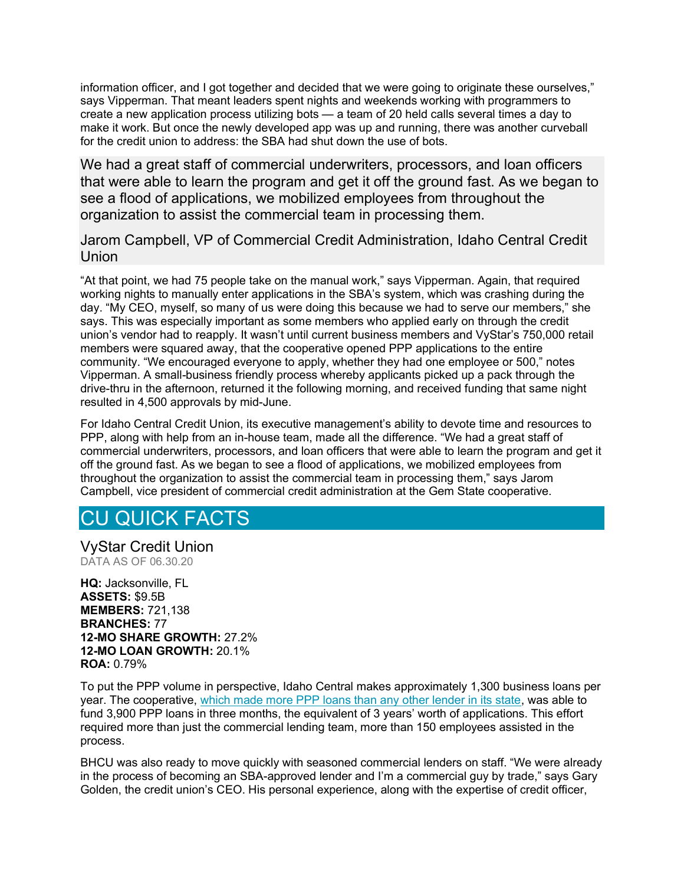information officer, and I got together and decided that we were going to originate these ourselves," says Vipperman. That meant leaders spent nights and weekends working with programmers to create a new application process utilizing bots — a team of 20 held calls several times a day to make it work. But once the newly developed app was up and running, there was another curveball for the credit union to address: the SBA had shut down the use of bots.

We had a great staff of commercial underwriters, processors, and loan officers that were able to learn the program and get it off the ground fast. As we began to see a flood of applications, we mobilized employees from throughout the organization to assist the commercial team in processing them.

Jarom Campbell, VP of Commercial Credit Administration, Idaho Central Credit **Union** 

"At that point, we had 75 people take on the manual work," says Vipperman. Again, that required working nights to manually enter applications in the SBA's system, which was crashing during the day. "My CEO, myself, so many of us were doing this because we had to serve our members," she says. This was especially important as some members who applied early on through the credit union's vendor had to reapply. It wasn't until current business members and VyStar's 750,000 retail members were squared away, that the cooperative opened PPP applications to the entire community. "We encouraged everyone to apply, whether they had one employee or 500," notes Vipperman. A small-business friendly process whereby applicants picked up a pack through the drive-thru in the afternoon, returned it the following morning, and received funding that same night resulted in 4,500 approvals by mid-June.

For Idaho Central Credit Union, its executive management's ability to devote time and resources to PPP, along with help from an in-house team, made all the difference. "We had a great staff of commercial underwriters, processors, and loan officers that were able to learn the program and get it off the ground fast. As we began to see a flood of applications, we mobilized employees from throughout the organization to assist the commercial team in processing them," says Jarom Campbell, vice president of commercial credit administration at the Gem State cooperative.

### CU QUICK FACTS

VyStar Credit Union DATA AS OF 06.30.20

HQ: Jacksonville, FL ASSETS: \$9.5B MEMBERS: 721,138 BRANCHES: 77 12-MO SHARE GROWTH: 27.2% 12-MO LOAN GROWTH: 20.1% ROA: 0.79%

To put the PPP volume in perspective, Idaho Central makes approximately 1,300 business loans per year. The cooperative, which made more PPP loans than any other lender in its state, was able to fund 3,900 PPP loans in three months, the equivalent of 3 years' worth of applications. This effort required more than just the commercial lending team, more than 150 employees assisted in the process.

BHCU was also ready to move quickly with seasoned commercial lenders on staff. "We were already in the process of becoming an SBA-approved lender and I'm a commercial guy by trade," says Gary Golden, the credit union's CEO. His personal experience, along with the expertise of credit officer,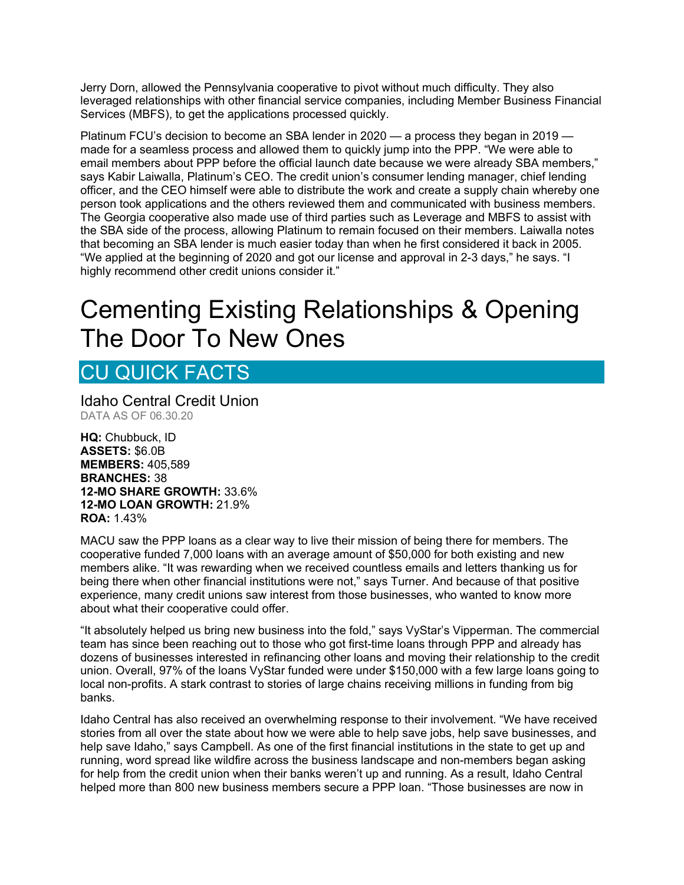Jerry Dorn, allowed the Pennsylvania cooperative to pivot without much difficulty. They also leveraged relationships with other financial service companies, including Member Business Financial Services (MBFS), to get the applications processed quickly.

Platinum FCU's decision to become an SBA lender in 2020 — a process they began in 2019 made for a seamless process and allowed them to quickly jump into the PPP. "We were able to email members about PPP before the official launch date because we were already SBA members," says Kabir Laiwalla, Platinum's CEO. The credit union's consumer lending manager, chief lending officer, and the CEO himself were able to distribute the work and create a supply chain whereby one person took applications and the others reviewed them and communicated with business members. The Georgia cooperative also made use of third parties such as Leverage and MBFS to assist with the SBA side of the process, allowing Platinum to remain focused on their members. Laiwalla notes that becoming an SBA lender is much easier today than when he first considered it back in 2005. "We applied at the beginning of 2020 and got our license and approval in 2-3 days," he says. "I highly recommend other credit unions consider it."

## Cementing Existing Relationships & Opening The Door To New Ones

### CU QUICK FACTS

Idaho Central Credit Union DATA AS OF 06.30.20

HQ: Chubbuck, ID ASSETS: \$6.0B MEMBERS: 405,589 BRANCHES: 38 12-MO SHARE GROWTH: 33.6% 12-MO LOAN GROWTH: 21.9% ROA: 1.43%

MACU saw the PPP loans as a clear way to live their mission of being there for members. The cooperative funded 7,000 loans with an average amount of \$50,000 for both existing and new members alike. "It was rewarding when we received countless emails and letters thanking us for being there when other financial institutions were not," says Turner. And because of that positive experience, many credit unions saw interest from those businesses, who wanted to know more about what their cooperative could offer.

"It absolutely helped us bring new business into the fold," says VyStar's Vipperman. The commercial team has since been reaching out to those who got first-time loans through PPP and already has dozens of businesses interested in refinancing other loans and moving their relationship to the credit union. Overall, 97% of the loans VyStar funded were under \$150,000 with a few large loans going to local non-profits. A stark contrast to stories of large chains receiving millions in funding from big banks.

Idaho Central has also received an overwhelming response to their involvement. "We have received stories from all over the state about how we were able to help save jobs, help save businesses, and help save Idaho," says Campbell. As one of the first financial institutions in the state to get up and running, word spread like wildfire across the business landscape and non-members began asking for help from the credit union when their banks weren't up and running. As a result, Idaho Central helped more than 800 new business members secure a PPP loan. "Those businesses are now in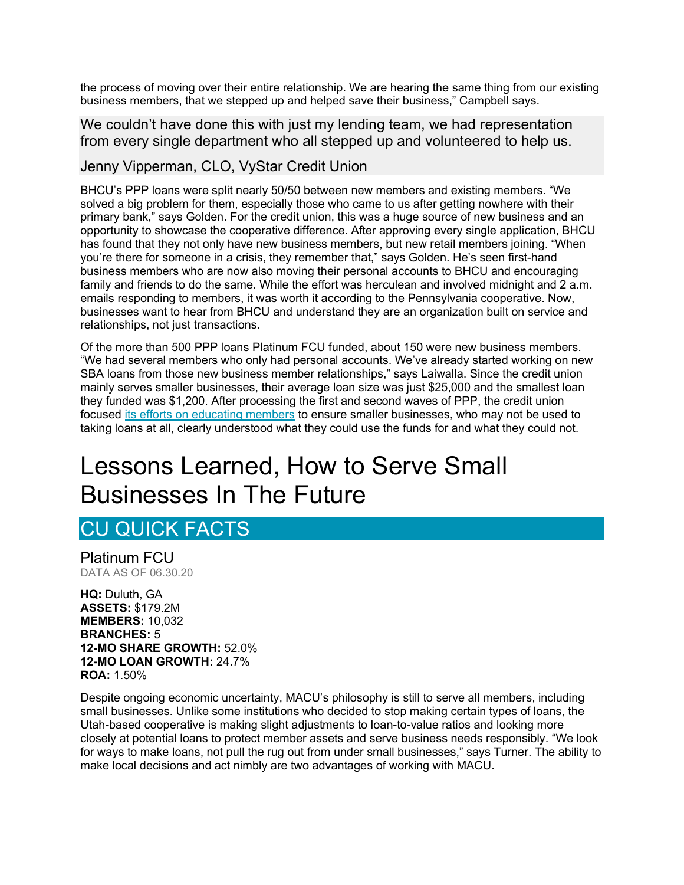the process of moving over their entire relationship. We are hearing the same thing from our existing business members, that we stepped up and helped save their business," Campbell says.

We couldn't have done this with just my lending team, we had representation from every single department who all stepped up and volunteered to help us.

#### Jenny Vipperman, CLO, VyStar Credit Union

BHCU's PPP loans were split nearly 50/50 between new members and existing members. "We solved a big problem for them, especially those who came to us after getting nowhere with their primary bank," says Golden. For the credit union, this was a huge source of new business and an opportunity to showcase the cooperative difference. After approving every single application, BHCU has found that they not only have new business members, but new retail members joining. "When you're there for someone in a crisis, they remember that," says Golden. He's seen first-hand business members who are now also moving their personal accounts to BHCU and encouraging family and friends to do the same. While the effort was herculean and involved midnight and 2 a.m. emails responding to members, it was worth it according to the Pennsylvania cooperative. Now, businesses want to hear from BHCU and understand they are an organization built on service and relationships, not just transactions.

Of the more than 500 PPP loans Platinum FCU funded, about 150 were new business members. "We had several members who only had personal accounts. We've already started working on new SBA loans from those new business member relationships," says Laiwalla. Since the credit union mainly serves smaller businesses, their average loan size was just \$25,000 and the smallest loan they funded was \$1,200. After processing the first and second waves of PPP, the credit union focused its efforts on educating members to ensure smaller businesses, who may not be used to taking loans at all, clearly understood what they could use the funds for and what they could not.

## Lessons Learned, How to Serve Small Businesses In The Future

#### CU QUICK FACTS

Platinum FCU DATA AS OF 06.30.20

HQ: Duluth, GA ASSETS: \$179.2M MEMBERS: 10,032 BRANCHES: 5 12-MO SHARE GROWTH: 52.0% 12-MO LOAN GROWTH: 24.7% ROA: 1.50%

Despite ongoing economic uncertainty, MACU's philosophy is still to serve all members, including small businesses. Unlike some institutions who decided to stop making certain types of loans, the Utah-based cooperative is making slight adjustments to loan-to-value ratios and looking more closely at potential loans to protect member assets and serve business needs responsibly. "We look for ways to make loans, not pull the rug out from under small businesses," says Turner. The ability to make local decisions and act nimbly are two advantages of working with MACU.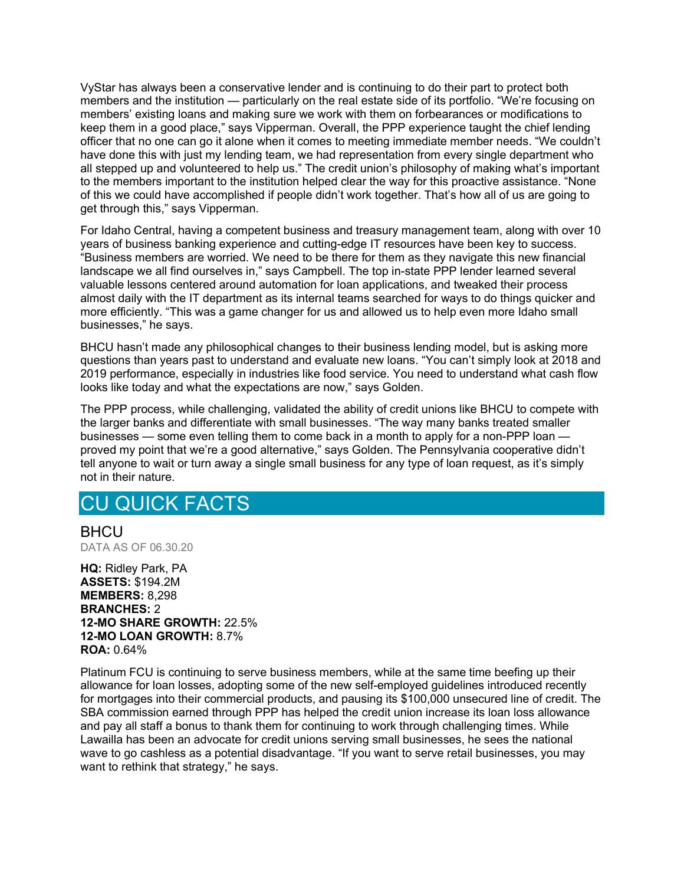VyStar has always been a conservative lender and is continuing to do their part to protect both members and the institution — particularly on the real estate side of its portfolio. "We're focusing on members' existing loans and making sure we work with them on forbearances or modifications to keep them in a good place," says Vipperman. Overall, the PPP experience taught the chief lending officer that no one can go it alone when it comes to meeting immediate member needs. "We couldn't have done this with just my lending team, we had representation from every single department who all stepped up and volunteered to help us." The credit union's philosophy of making what's important to the members important to the institution helped clear the way for this proactive assistance. "None of this we could have accomplished if people didn't work together. That's how all of us are going to get through this," says Vipperman.

For Idaho Central, having a competent business and treasury management team, along with over 10 years of business banking experience and cutting-edge IT resources have been key to success. "Business members are worried. We need to be there for them as they navigate this new financial landscape we all find ourselves in," says Campbell. The top in-state PPP lender learned several valuable lessons centered around automation for loan applications, and tweaked their process almost daily with the IT department as its internal teams searched for ways to do things quicker and more efficiently. "This was a game changer for us and allowed us to help even more Idaho small businesses," he says.

BHCU hasn't made any philosophical changes to their business lending model, but is asking more questions than years past to understand and evaluate new loans. "You can't simply look at 2018 and 2019 performance, especially in industries like food service. You need to understand what cash flow looks like today and what the expectations are now," says Golden.

The PPP process, while challenging, validated the ability of credit unions like BHCU to compete with the larger banks and differentiate with small businesses. "The way many banks treated smaller businesses — some even telling them to come back in a month to apply for a non-PPP loan proved my point that we're a good alternative," says Golden. The Pennsylvania cooperative didn't tell anyone to wait or turn away a single small business for any type of loan request, as it's simply not in their nature.

#### CU QUICK FACTS

**BHCU** DATA AS OF 06.30.20

HQ: Ridley Park, PA ASSETS: \$194.2M MEMBERS: 8,298 BRANCHES: 2 12-MO SHARE GROWTH: 22.5% 12-MO LOAN GROWTH: 8.7% ROA: 0.64%

Platinum FCU is continuing to serve business members, while at the same time beefing up their allowance for loan losses, adopting some of the new self-employed guidelines introduced recently for mortgages into their commercial products, and pausing its \$100,000 unsecured line of credit. The SBA commission earned through PPP has helped the credit union increase its loan loss allowance and pay all staff a bonus to thank them for continuing to work through challenging times. While Lawailla has been an advocate for credit unions serving small businesses, he sees the national wave to go cashless as a potential disadvantage. "If you want to serve retail businesses, you may want to rethink that strategy," he says.